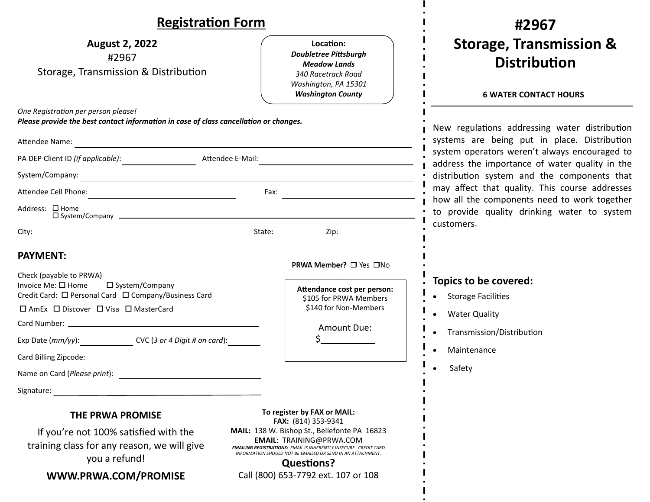| <b>Registration Form</b>                                                                                                                                                                                                                                                                                        |                                                                                                                                                                                                 | #2967                                                                                                                                                                                                                                                                                                                                                                                                          |
|-----------------------------------------------------------------------------------------------------------------------------------------------------------------------------------------------------------------------------------------------------------------------------------------------------------------|-------------------------------------------------------------------------------------------------------------------------------------------------------------------------------------------------|----------------------------------------------------------------------------------------------------------------------------------------------------------------------------------------------------------------------------------------------------------------------------------------------------------------------------------------------------------------------------------------------------------------|
| <b>August 2, 2022</b><br>#2967<br>Storage, Transmission & Distribution                                                                                                                                                                                                                                          | Location:<br><b>Doubletree Pittsburgh</b><br><b>Meadow Lands</b><br>340 Racetrack Road<br>Washington, PA 15301<br><b>Washington County</b>                                                      | <b>Storage, Transmission &amp;</b><br><b>Distribution</b><br><b>6 WATER CONTACT HOURS</b>                                                                                                                                                                                                                                                                                                                      |
| One Registration per person please!<br>Please provide the best contact information in case of class cancellation or changes.<br>Attendee Name:                                                                                                                                                                  |                                                                                                                                                                                                 | New regulations addressing water distribution<br>systems are being put in place. Distribution<br>system operators weren't always encouraged to<br>address the importance of water quality in the<br>distribution system and the components that<br>may affect that quality. This course addresses<br>how all the components need to work together<br>to provide quality drinking water to system<br>customers. |
| Attendee E-Mail:                                                                                                                                                                                                                                                                                                |                                                                                                                                                                                                 |                                                                                                                                                                                                                                                                                                                                                                                                                |
| System/Company:<br><u> 1989 - Johann Stein, marwolaethau a bhann an t-Amhainn an t-Amhainn an t-Amhainn an t-Amhainn an t-Amhainn a</u>                                                                                                                                                                         |                                                                                                                                                                                                 |                                                                                                                                                                                                                                                                                                                                                                                                                |
|                                                                                                                                                                                                                                                                                                                 |                                                                                                                                                                                                 |                                                                                                                                                                                                                                                                                                                                                                                                                |
| Address: □ Home<br>$\Box$ System/Company $\Box$                                                                                                                                                                                                                                                                 |                                                                                                                                                                                                 |                                                                                                                                                                                                                                                                                                                                                                                                                |
| City:                                                                                                                                                                                                                                                                                                           |                                                                                                                                                                                                 |                                                                                                                                                                                                                                                                                                                                                                                                                |
| <b>PAYMENT:</b><br>Check (payable to PRWA)<br>Invoice Me: □ Home<br>□ System/Company<br>Credit Card: □ Personal Card □ Company/Business Card<br>□ AmEx □ Discover □ Visa □ MasterCard<br>Exp Date (mm/yy): CVC (3 or 4 Digit # on card):<br>Card Billing Zipcode:<br>Name on Card (Please print):<br>Signature: | PRWA Member? □ Yes □No<br>Attendance cost per person:<br>\$105 for PRWA Members<br>\$140 for Non-Members<br>Amount Due:                                                                         | Topics to be covered:<br>• Storage Facilities<br>• Water Quality<br>Transmission/Distribution<br>Maintenance<br>Safety                                                                                                                                                                                                                                                                                         |
| <b>THE PRWA PROMISE</b><br>If you're not 100% satisfied with the                                                                                                                                                                                                                                                | To register by FAX or MAIL:<br>FAX: (814) 353-9341<br>MAIL: 138 W. Bishop St., Bellefonte PA 16823                                                                                              |                                                                                                                                                                                                                                                                                                                                                                                                                |
| training class for any reason, we will give<br>you a refund!                                                                                                                                                                                                                                                    | <b>EMAIL: TRAINING@PRWA.COM</b><br><b>EMAILING REGISTRATIONS: EMAIL IS INHERENTLY INSECURE. CREDIT CARD</b><br>INFORMATION SHOULD NOT BE EMAILED OR SEND IN AN ATTACHMENT.<br><b>Questions?</b> |                                                                                                                                                                                                                                                                                                                                                                                                                |
| WWW.PRWA.COM/PROMISE                                                                                                                                                                                                                                                                                            | Call (800) 653-7792 ext. 107 or 108                                                                                                                                                             |                                                                                                                                                                                                                                                                                                                                                                                                                |

 $\mathbf{I}$